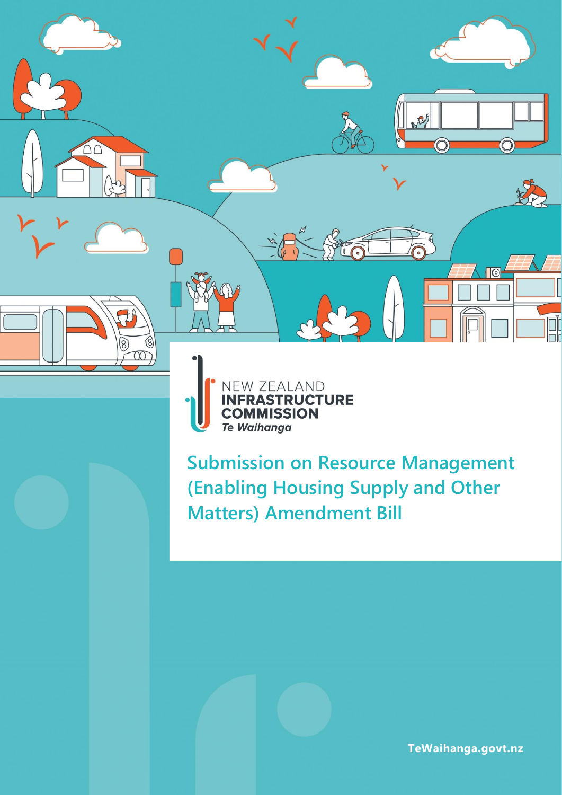



**Submission on Resource Management (Enabling Housing Supply and Other Matters) Amendment Bill** 

**TeWaihanga.govt.nz**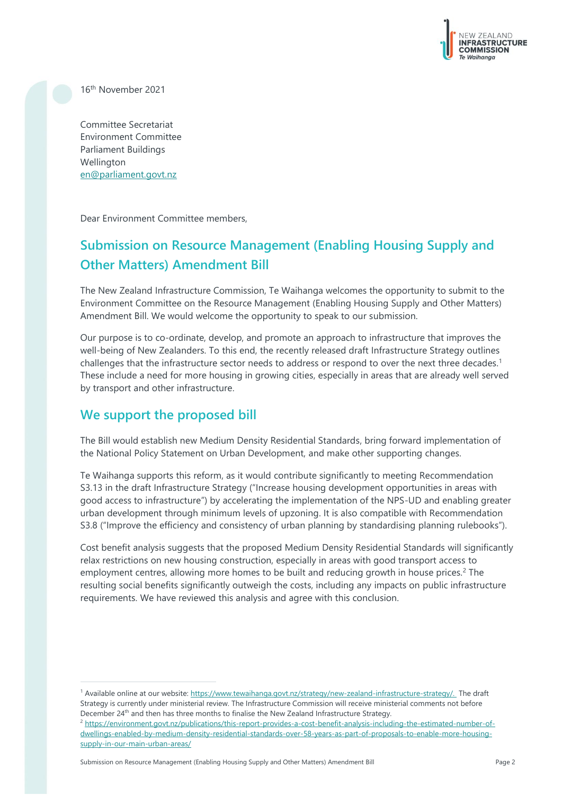

16th November 2021

Committee Secretariat Environment Committee Parliament Buildings Wellington [en@parliament.govt.nz](mailto:en@parliament.govt.nz)

Dear Environment Committee members,

# **Submission on Resource Management (Enabling Housing Supply and Other Matters) Amendment Bill**

The New Zealand Infrastructure Commission, Te Waihanga welcomes the opportunity to submit to the Environment Committee on the Resource Management (Enabling Housing Supply and Other Matters) Amendment Bill. We would welcome the opportunity to speak to our submission.

Our purpose is to co-ordinate, develop, and promote an approach to infrastructure that improves the well-being of New Zealanders. To this end, the recently released draft Infrastructure Strategy outlines challenges that the infrastructure sector needs to address or respond to over the next three decades. 1 These include a need for more housing in growing cities, especially in areas that are already well served by transport and other infrastructure.

### **We support the proposed bill**

The Bill would establish new Medium Density Residential Standards, bring forward implementation of the National Policy Statement on Urban Development, and make other supporting changes.

Te Waihanga supports this reform, as it would contribute significantly to meeting Recommendation S3.13 in the draft Infrastructure Strategy ("Increase housing development opportunities in areas with good access to infrastructure") by accelerating the implementation of the NPS-UD and enabling greater urban development through minimum levels of upzoning. It is also compatible with Recommendation S3.8 ("Improve the efficiency and consistency of urban planning by standardising planning rulebooks").

Cost benefit analysis suggests that the proposed Medium Density Residential Standards will significantly relax restrictions on new housing construction, especially in areas with good transport access to employment centres, allowing more homes to be built and reducing growth in house prices.<sup>2</sup> The resulting social benefits significantly outweigh the costs, including any impacts on public infrastructure requirements. We have reviewed this analysis and agree with this conclusion.

<sup>1</sup> Available online at our website: [https://www.tewaihanga.govt.nz/strategy/new-zealand-infrastructure-strategy/.](https://www.tewaihanga.govt.nz/strategy/new-zealand-infrastructure-strategy/) The draft Strategy is currently under ministerial review. The Infrastructure Commission will receive ministerial comments not before December 24<sup>th</sup> and then has three months to finalise the New Zealand Infrastructure Strategy.

<sup>2</sup> [https://environment.govt.nz/publications/this-report-provides-a-cost-benefit-analysis-including-the-estimated-number-of](https://environment.govt.nz/publications/this-report-provides-a-cost-benefit-analysis-including-the-estimated-number-of-dwellings-enabled-by-medium-density-residential-standards-over-58-years-as-part-of-proposals-to-enable-more-housing-supply-in-our-main-urban-areas/)[dwellings-enabled-by-medium-density-residential-standards-over-58-years-as-part-of-proposals-to-enable-more-housing](https://environment.govt.nz/publications/this-report-provides-a-cost-benefit-analysis-including-the-estimated-number-of-dwellings-enabled-by-medium-density-residential-standards-over-58-years-as-part-of-proposals-to-enable-more-housing-supply-in-our-main-urban-areas/)[supply-in-our-main-urban-areas/](https://environment.govt.nz/publications/this-report-provides-a-cost-benefit-analysis-including-the-estimated-number-of-dwellings-enabled-by-medium-density-residential-standards-over-58-years-as-part-of-proposals-to-enable-more-housing-supply-in-our-main-urban-areas/)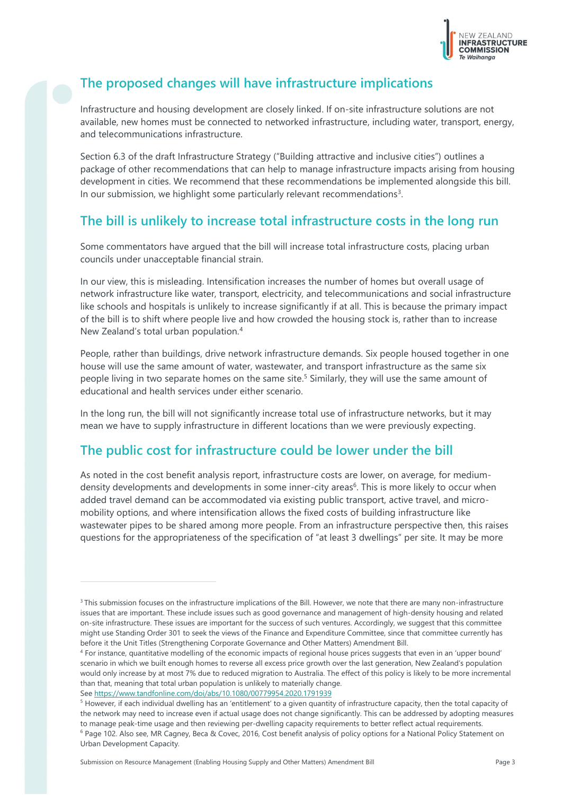

## **The proposed changes will have infrastructure implications**

Infrastructure and housing development are closely linked. If on-site infrastructure solutions are not available, new homes must be connected to networked infrastructure, including water, transport, energy, and telecommunications infrastructure.

Section 6.3 of the draft Infrastructure Strategy ("Building attractive and inclusive cities") outlines a package of other recommendations that can help to manage infrastructure impacts arising from housing development in cities. We recommend that these recommendations be implemented alongside this bill. In our submission, we highlight some particularly relevant recommendations<sup>3</sup>.

### **The bill is unlikely to increase total infrastructure costs in the long run**

Some commentators have argued that the bill will increase total infrastructure costs, placing urban councils under unacceptable financial strain.

In our view, this is misleading. Intensification increases the number of homes but overall usage of network infrastructure like water, transport, electricity, and telecommunications and social infrastructure like schools and hospitals is unlikely to increase significantly if at all. This is because the primary impact of the bill is to shift where people live and how crowded the housing stock is, rather than to increase New Zealand's total urban population.<sup>4</sup>

People, rather than buildings, drive network infrastructure demands. Six people housed together in one house will use the same amount of water, wastewater, and transport infrastructure as the same six people living in two separate homes on the same site. <sup>5</sup> Similarly, they will use the same amount of educational and health services under either scenario.

In the long run, the bill will not significantly increase total use of infrastructure networks, but it may mean we have to supply infrastructure in different locations than we were previously expecting.

## **The public cost for infrastructure could be lower under the bill**

As noted in the cost benefit analysis report, infrastructure costs are lower, on average, for mediumdensity developments and developments in some inner-city areas<sup>6</sup>. This is more likely to occur when added travel demand can be accommodated via existing public transport, active travel, and micromobility options, and where intensification allows the fixed costs of building infrastructure like wastewater pipes to be shared among more people. From an infrastructure perspective then, this raises questions for the appropriateness of the specification of "at least 3 dwellings" per site. It may be more

<sup>&</sup>lt;sup>3</sup> This submission focuses on the infrastructure implications of the Bill. However, we note that there are many non-infrastructure issues that are important. These include issues such as good governance and management of high-density housing and related on-site infrastructure. These issues are important for the success of such ventures. Accordingly, we suggest that this committee might use Standing Order 301 to seek the views of the Finance and Expenditure Committee, since that committee currently has before it the Unit Titles (Strengthening Corporate Governance and Other Matters) Amendment Bill.

<sup>4</sup> For instance, quantitative modelling of the economic impacts of regional house prices suggests that even in an 'upper bound' scenario in which we built enough homes to reverse all excess price growth over the last generation, New Zealand's population would only increase by at most 7% due to reduced migration to Australia. The effect of this policy is likely to be more incremental than that, meaning that total urban population is unlikely to materially change. See<https://www.tandfonline.com/doi/abs/10.1080/00779954.2020.1791939>

<sup>&</sup>lt;sup>5</sup> However, if each individual dwelling has an 'entitlement' to a given quantity of infrastructure capacity, then the total capacity of the network may need to increase even if actual usage does not change significantly. This can be addressed by adopting measures to manage peak-time usage and then reviewing per-dwelling capacity requirements to better reflect actual requirements. <sup>6</sup> Page 102. Also see, MR Cagney, Beca & Covec, 2016, Cost benefit analysis of policy options for a National Policy Statement on Urban Development Capacity.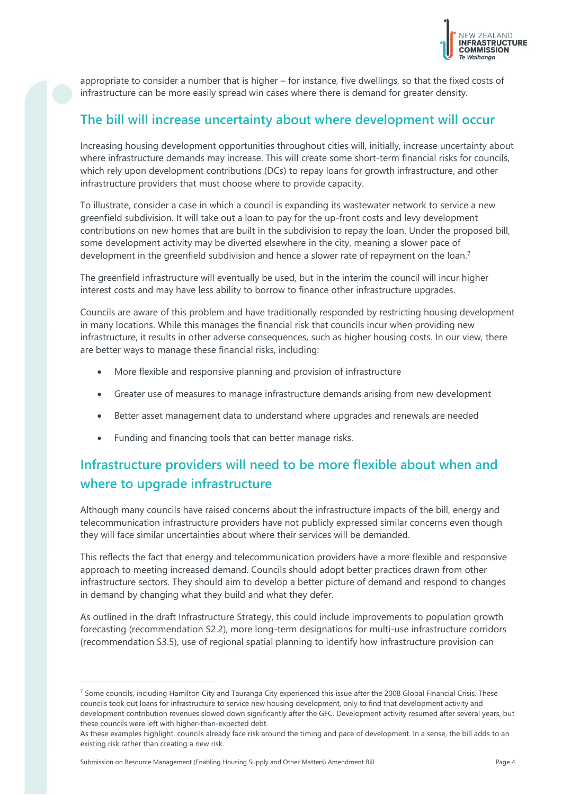

appropriate to consider a number that is higher – for instance, five dwellings, so that the fixed costs of infrastructure can be more easily spread win cases where there is demand for greater density.

#### **The bill will increase uncertainty about where development will occur**

Increasing housing development opportunities throughout cities will, initially, increase uncertainty about where infrastructure demands may increase. This will create some short-term financial risks for councils, which rely upon development contributions (DCs) to repay loans for growth infrastructure, and other infrastructure providers that must choose where to provide capacity.

To illustrate, consider a case in which a council is expanding its wastewater network to service a new greenfield subdivision. It will take out a loan to pay for the up-front costs and levy development contributions on new homes that are built in the subdivision to repay the loan. Under the proposed bill, some development activity may be diverted elsewhere in the city, meaning a slower pace of development in the greenfield subdivision and hence a slower rate of repayment on the loan.<sup>7</sup>

The greenfield infrastructure will eventually be used, but in the interim the council will incur higher interest costs and may have less ability to borrow to finance other infrastructure upgrades.

Councils are aware of this problem and have traditionally responded by restricting housing development in many locations. While this manages the financial risk that councils incur when providing new infrastructure, it results in other adverse consequences, such as higher housing costs. In our view, there are better ways to manage these financial risks, including:

- More flexible and responsive planning and provision of infrastructure
- Greater use of measures to manage infrastructure demands arising from new development
- Better asset management data to understand where upgrades and renewals are needed
- Funding and financing tools that can better manage risks.

## **Infrastructure providers will need to be more flexible about when and where to upgrade infrastructure**

Although many councils have raised concerns about the infrastructure impacts of the bill, energy and telecommunication infrastructure providers have not publicly expressed similar concerns even though they will face similar uncertainties about where their services will be demanded.

This reflects the fact that energy and telecommunication providers have a more flexible and responsive approach to meeting increased demand. Councils should adopt better practices drawn from other infrastructure sectors. They should aim to develop a better picture of demand and respond to changes in demand by changing what they build and what they defer.

As outlined in the draft Infrastructure Strategy, this could include improvements to population growth forecasting (recommendation S2.2), more long-term designations for multi-use infrastructure corridors (recommendation S3.5), use of regional spatial planning to identify how infrastructure provision can

 $<sup>7</sup>$  Some councils, including Hamilton City and Tauranga City experienced this issue after the 2008 Global Financial Crisis. These</sup> councils took out loans for infrastructure to service new housing development, only to find that development activity and development contribution revenues slowed down significantly after the GFC. Development activity resumed after several years, but these councils were left with higher-than-expected debt.

As these examples highlight, councils already face risk around the timing and pace of development. In a sense, the bill adds to an existing risk rather than creating a new risk.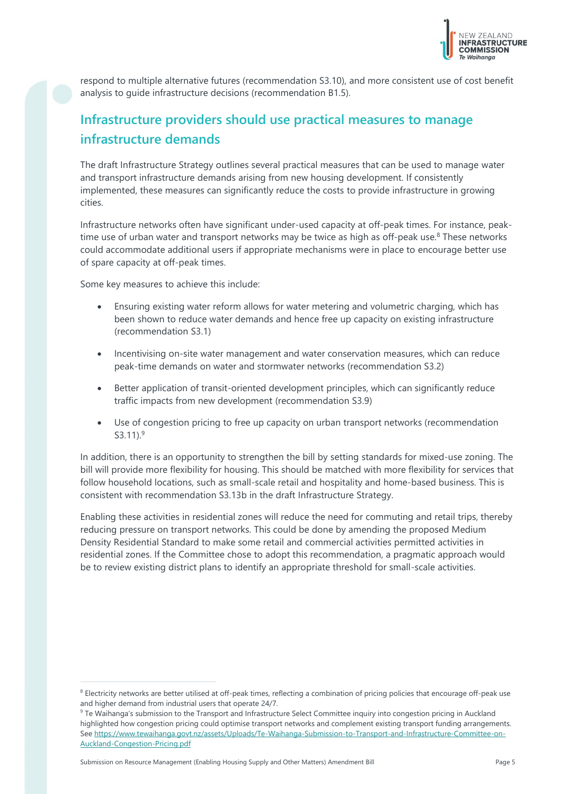

respond to multiple alternative futures (recommendation S3.10), and more consistent use of cost benefit analysis to guide infrastructure decisions (recommendation B1.5).

## **Infrastructure providers should use practical measures to manage infrastructure demands**

The draft Infrastructure Strategy outlines several practical measures that can be used to manage water and transport infrastructure demands arising from new housing development. If consistently implemented, these measures can significantly reduce the costs to provide infrastructure in growing cities.

Infrastructure networks often have significant under-used capacity at off-peak times. For instance, peaktime use of urban water and transport networks may be twice as high as off-peak use.<sup>8</sup> These networks could accommodate additional users if appropriate mechanisms were in place to encourage better use of spare capacity at off-peak times.

Some key measures to achieve this include:

- Ensuring existing water reform allows for water metering and volumetric charging, which has been shown to reduce water demands and hence free up capacity on existing infrastructure (recommendation S3.1)
- Incentivising on-site water management and water conservation measures, which can reduce peak-time demands on water and stormwater networks (recommendation S3.2)
- Better application of transit-oriented development principles, which can significantly reduce traffic impacts from new development (recommendation S3.9)
- Use of congestion pricing to free up capacity on urban transport networks (recommendation S3.11). 9

In addition, there is an opportunity to strengthen the bill by setting standards for mixed-use zoning. The bill will provide more flexibility for housing. This should be matched with more flexibility for services that follow household locations, such as small-scale retail and hospitality and home-based business. This is consistent with recommendation S3.13b in the draft Infrastructure Strategy.

Enabling these activities in residential zones will reduce the need for commuting and retail trips, thereby reducing pressure on transport networks. This could be done by amending the proposed Medium Density Residential Standard to make some retail and commercial activities permitted activities in residential zones. If the Committee chose to adopt this recommendation, a pragmatic approach would be to review existing district plans to identify an appropriate threshold for small-scale activities.

<sup>&</sup>lt;sup>8</sup> Electricity networks are better utilised at off-peak times, reflecting a combination of pricing policies that encourage off-peak use and higher demand from industrial users that operate 24/7.

<sup>&</sup>lt;sup>9</sup> Te Waihanga's submission to the Transport and Infrastructure Select Committee inquiry into congestion pricing in Auckland highlighted how congestion pricing could optimise transport networks and complement existing transport funding arrangements. See [https://www.tewaihanga.govt.nz/assets/Uploads/Te-Waihanga-Submission-to-Transport-and-Infrastructure-Committee-on-](https://www.tewaihanga.govt.nz/assets/Uploads/Te-Waihanga-Submission-to-Transport-and-Infrastructure-Committee-on-Auckland-Congestion-Pricing.pdf)[Auckland-Congestion-Pricing.pdf](https://www.tewaihanga.govt.nz/assets/Uploads/Te-Waihanga-Submission-to-Transport-and-Infrastructure-Committee-on-Auckland-Congestion-Pricing.pdf)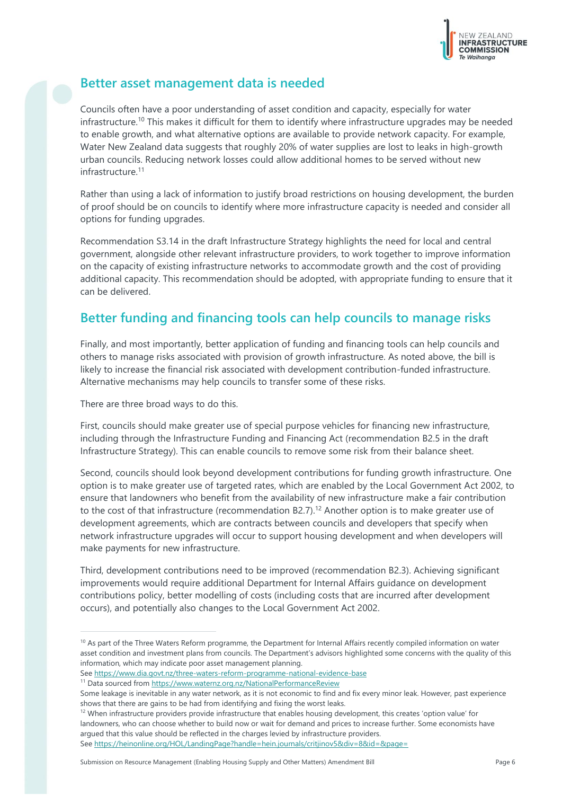

## **Better asset management data is needed**

Councils often have a poor understanding of asset condition and capacity, especially for water infrastructure.<sup>10</sup> This makes it difficult for them to identify where infrastructure upgrades may be needed to enable growth, and what alternative options are available to provide network capacity. For example, Water New Zealand data suggests that roughly 20% of water supplies are lost to leaks in high-growth urban councils. Reducing network losses could allow additional homes to be served without new infrastructure<sup>11</sup>

Rather than using a lack of information to justify broad restrictions on housing development, the burden of proof should be on councils to identify where more infrastructure capacity is needed and consider all options for funding upgrades.

Recommendation S3.14 in the draft Infrastructure Strategy highlights the need for local and central government, alongside other relevant infrastructure providers, to work together to improve information on the capacity of existing infrastructure networks to accommodate growth and the cost of providing additional capacity. This recommendation should be adopted, with appropriate funding to ensure that it can be delivered.

## **Better funding and financing tools can help councils to manage risks**

Finally, and most importantly, better application of funding and financing tools can help councils and others to manage risks associated with provision of growth infrastructure. As noted above, the bill is likely to increase the financial risk associated with development contribution-funded infrastructure. Alternative mechanisms may help councils to transfer some of these risks.

There are three broad ways to do this.

First, councils should make greater use of special purpose vehicles for financing new infrastructure, including through the Infrastructure Funding and Financing Act (recommendation B2.5 in the draft Infrastructure Strategy). This can enable councils to remove some risk from their balance sheet.

Second, councils should look beyond development contributions for funding growth infrastructure. One option is to make greater use of targeted rates, which are enabled by the Local Government Act 2002, to ensure that landowners who benefit from the availability of new infrastructure make a fair contribution to the cost of that infrastructure (recommendation B2.7).<sup>12</sup> Another option is to make greater use of development agreements, which are contracts between councils and developers that specify when network infrastructure upgrades will occur to support housing development and when developers will make payments for new infrastructure.

Third, development contributions need to be improved (recommendation B2.3). Achieving significant improvements would require additional Department for Internal Affairs guidance on development contributions policy, better modelling of costs (including costs that are incurred after development occurs), and potentially also changes to the Local Government Act 2002.

<sup>11</sup> Data sourced fro[m https://www.waternz.org.nz/NationalPerformanceReview](https://www.waternz.org.nz/NationalPerformanceReview)

Submission on Resource Management (Enabling Housing Supply and Other Matters) Amendment Bill Page 6

<sup>&</sup>lt;sup>10</sup> As part of the Three Waters Reform programme, the Department for Internal Affairs recently compiled information on water asset condition and investment plans from councils. The Department's advisors highlighted some concerns with the quality of this information, which may indicate poor asset management planning.

See<https://www.dia.govt.nz/three-waters-reform-programme-national-evidence-base>

Some leakage is inevitable in any water network, as it is not economic to find and fix every minor leak. However, past experience shows that there are gains to be had from identifying and fixing the worst leaks.

 $12$  When infrastructure providers provide infrastructure that enables housing development, this creates 'option value' for landowners, who can choose whether to build now or wait for demand and prices to increase further. Some economists have argued that this value should be reflected in the charges levied by infrastructure providers. See<https://heinonline.org/HOL/LandingPage?handle=hein.journals/critjinov5&div=8&id=&page=>